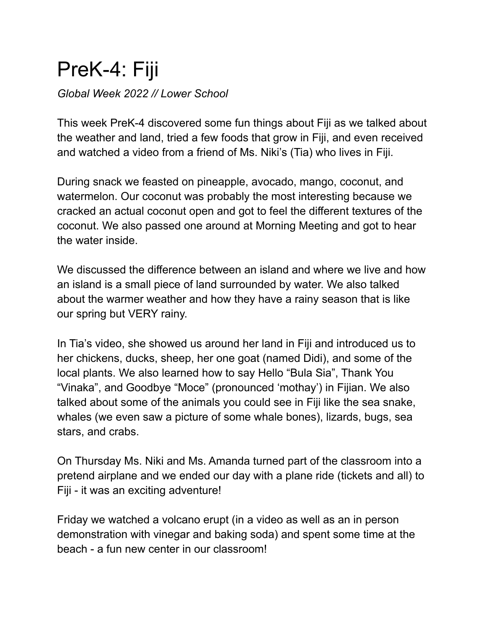## PreK-4: Fiji

*Global Week 2022 // Lower School*

This week PreK-4 discovered some fun things about Fiji as we talked about the weather and land, tried a few foods that grow in Fiji, and even received and watched a video from a friend of Ms. Niki's (Tia) who lives in Fiji.

During snack we feasted on pineapple, avocado, mango, coconut, and watermelon. Our coconut was probably the most interesting because we cracked an actual coconut open and got to feel the different textures of the coconut. We also passed one around at Morning Meeting and got to hear the water inside.

We discussed the difference between an island and where we live and how an island is a small piece of land surrounded by water. We also talked about the warmer weather and how they have a rainy season that is like our spring but VERY rainy.

In Tia's video, she showed us around her land in Fiji and introduced us to her chickens, ducks, sheep, her one goat (named Didi), and some of the local plants. We also learned how to say Hello "Bula Sia", Thank You "Vinaka", and Goodbye "Moce" (pronounced 'mothay') in Fijian. We also talked about some of the animals you could see in Fiji like the sea snake, whales (we even saw a picture of some whale bones), lizards, bugs, sea stars, and crabs.

On Thursday Ms. Niki and Ms. Amanda turned part of the classroom into a pretend airplane and we ended our day with a plane ride (tickets and all) to Fiji - it was an exciting adventure!

Friday we watched a volcano erupt (in a video as well as an in person demonstration with vinegar and baking soda) and spent some time at the beach - a fun new center in our classroom!